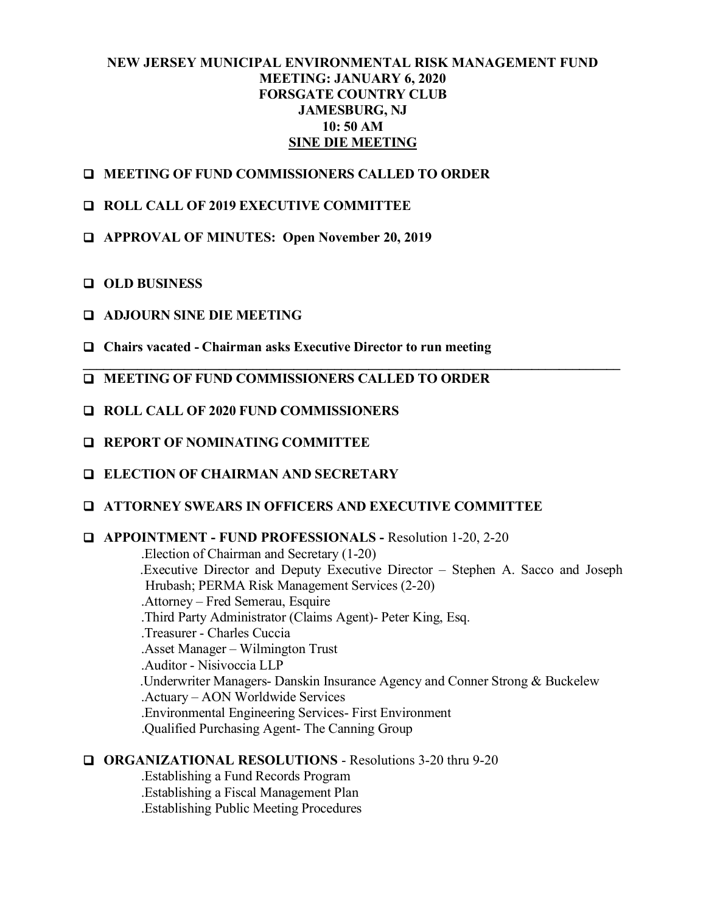#### **NEW JERSEY MUNICIPAL ENVIRONMENTAL RISK MANAGEMENT FUND MEETING: JANUARY 6, 2020 FORSGATE COUNTRY CLUB JAMESBURG, NJ 10: 50 AM SINE DIE MEETING**

**\_\_\_\_\_\_\_\_\_\_\_\_\_\_\_\_\_\_\_\_\_\_\_\_\_\_\_\_\_\_\_\_\_\_\_\_\_\_\_\_\_\_\_\_\_\_\_\_\_\_\_\_\_\_\_\_\_\_\_\_\_\_\_\_\_\_\_\_\_\_\_\_\_\_\_\_\_\_\_**

- **MEETING OF FUND COMMISSIONERS CALLED TO ORDER**
- **ROLL CALL OF 2019 EXECUTIVE COMMITTEE**
- **APPROVAL OF MINUTES: Open November 20, 2019**
- **OLD BUSINESS**
- **ADJOURN SINE DIE MEETING**
- **Chairs vacated Chairman asks Executive Director to run meeting**
- **MEETING OF FUND COMMISSIONERS CALLED TO ORDER**
- **ROLL CALL OF 2020 FUND COMMISSIONERS**
- **REPORT OF NOMINATING COMMITTEE**
- **ELECTION OF CHAIRMAN AND SECRETARY**
- **ATTORNEY SWEARS IN OFFICERS AND EXECUTIVE COMMITTEE**
- **APPOINTMENT FUND PROFESSIONALS -** Resolution 1-20, 2-20

.Election of Chairman and Secretary (1-20) .Executive Director and Deputy Executive Director – Stephen A. Sacco and Joseph Hrubash; PERMA Risk Management Services (2-20) .Attorney – Fred Semerau, Esquire .Third Party Administrator (Claims Agent)- Peter King, Esq. .Treasurer - Charles Cuccia .Asset Manager – Wilmington Trust .Auditor - Nisivoccia LLP .Underwriter Managers- Danskin Insurance Agency and Conner Strong & Buckelew .Actuary – AON Worldwide Services .Environmental Engineering Services- First Environment .Qualified Purchasing Agent- The Canning Group

**ORGANIZATIONAL RESOLUTIONS** - Resolutions 3-20 thru 9-20

.Establishing a Fund Records Program .Establishing a Fiscal Management Plan .Establishing Public Meeting Procedures